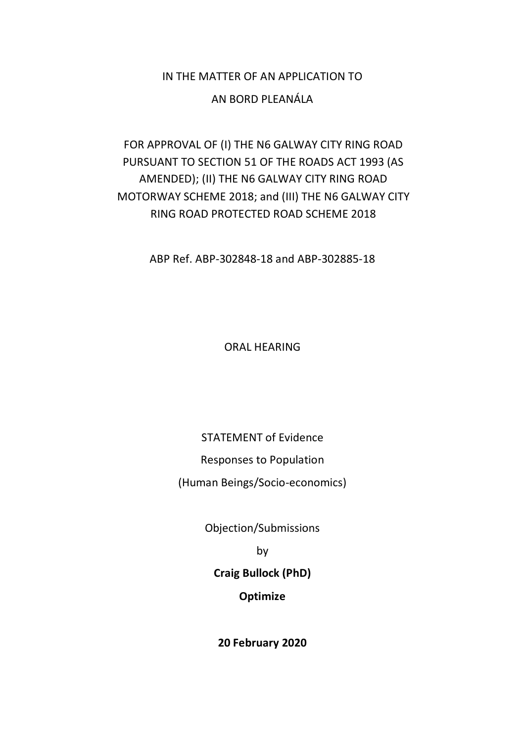# IN THE MATTER OF AN APPLICATION TO AN BORD PLEANÁLA

# FOR APPROVAL OF (I) THE N6 GALWAY CITY RING ROAD PURSUANT TO SECTION 51 OF THE ROADS ACT 1993 (AS AMENDED); (II) THE N6 GALWAY CITY RING ROAD MOTORWAY SCHEME 2018; and (III) THE N6 GALWAY CITY RING ROAD PROTECTED ROAD SCHEME 2018

ABP Ref. ABP-302848-18 and ABP-302885-18

ORAL HEARING

## STATEMENT of Evidence

Responses to Population

(Human Beings/Socio-economics)

Objection/Submissions

by

**Craig Bullock (PhD)**

## **Optimize**

**20 February 2020**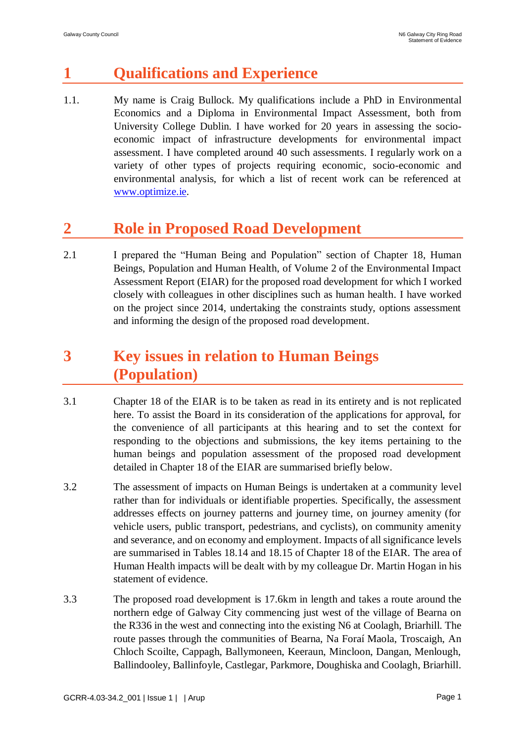# **1 Qualifications and Experience**

1.1. My name is Craig Bullock. My qualifications include a PhD in Environmental Economics and a Diploma in Environmental Impact Assessment, both from University College Dublin. I have worked for 20 years in assessing the socioeconomic impact of infrastructure developments for environmental impact assessment. I have completed around 40 such assessments. I regularly work on a variety of other types of projects requiring economic, socio-economic and environmental analysis, for which a list of recent work can be referenced at [www.optimize.ie.](http://www.optimize.ie/)

# **2 Role in Proposed Road Development**

2.1 I prepared the "Human Being and Population" section of Chapter 18, Human Beings, Population and Human Health, of Volume 2 of the Environmental Impact Assessment Report (EIAR) for the proposed road development for which I worked closely with colleagues in other disciplines such as human health. I have worked on the project since 2014, undertaking the constraints study, options assessment and informing the design of the proposed road development.

# **3 Key issues in relation to Human Beings (Population)**

- 3.1 Chapter 18 of the EIAR is to be taken as read in its entirety and is not replicated here. To assist the Board in its consideration of the applications for approval, for the convenience of all participants at this hearing and to set the context for responding to the objections and submissions, the key items pertaining to the human beings and population assessment of the proposed road development detailed in Chapter 18 of the EIAR are summarised briefly below.
- 3.2 The assessment of impacts on Human Beings is undertaken at a community level rather than for individuals or identifiable properties. Specifically, the assessment addresses effects on journey patterns and journey time, on journey amenity (for vehicle users, public transport, pedestrians, and cyclists), on community amenity and severance, and on economy and employment. Impacts of all significance levels are summarised in Tables 18.14 and 18.15 of Chapter 18 of the EIAR. The area of Human Health impacts will be dealt with by my colleague Dr. Martin Hogan in his statement of evidence.
- 3.3 The proposed road development is 17.6km in length and takes a route around the northern edge of Galway City commencing just west of the village of Bearna on the R336 in the west and connecting into the existing N6 at Coolagh, Briarhill. The route passes through the communities of Bearna, Na Foraí Maola, Troscaigh, An Chloch Scoilte, Cappagh, Ballymoneen, Keeraun, Mincloon, Dangan, Menlough, Ballindooley, Ballinfoyle, Castlegar, Parkmore, Doughiska and Coolagh, Briarhill.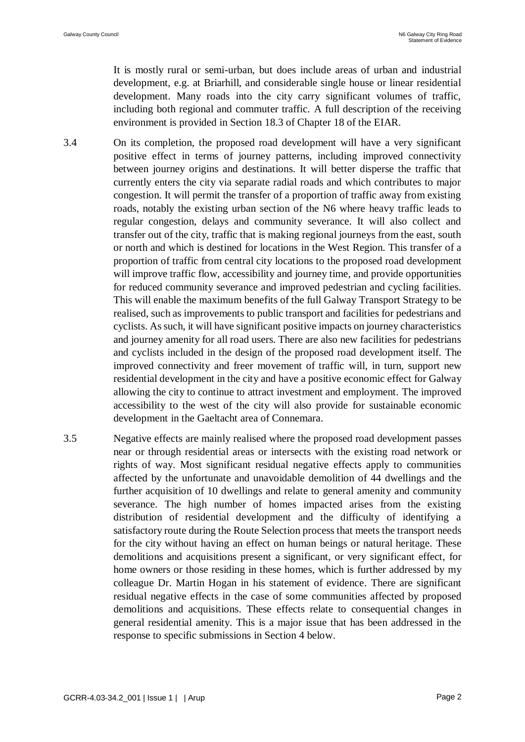It is mostly rural or semi-urban, but does include areas of urban and industrial development, e.g. at Briarhill, and considerable single house or linear residential development. Many roads into the city carry significant volumes of traffic, including both regional and commuter traffic. A full description of the receiving environment is provided in Section 18.3 of Chapter 18 of the EIAR.

- 3.4 On its completion, the proposed road development will have a very significant positive effect in terms of journey patterns, including improved connectivity between journey origins and destinations. It will better disperse the traffic that currently enters the city via separate radial roads and which contributes to major congestion. It will permit the transfer of a proportion of traffic away from existing roads, notably the existing urban section of the N6 where heavy traffic leads to regular congestion, delays and community severance. It will also collect and transfer out of the city, traffic that is making regional journeys from the east, south or north and which is destined for locations in the West Region. This transfer of a proportion of traffic from central city locations to the proposed road development will improve traffic flow, accessibility and journey time, and provide opportunities for reduced community severance and improved pedestrian and cycling facilities. This will enable the maximum benefits of the full Galway Transport Strategy to be realised, such as improvements to public transport and facilities for pedestrians and cyclists. As such, it will have significant positive impacts on journey characteristics and journey amenity for all road users. There are also new facilities for pedestrians and cyclists included in the design of the proposed road development itself. The improved connectivity and freer movement of traffic will, in turn, support new residential development in the city and have a positive economic effect for Galway allowing the city to continue to attract investment and employment. The improved accessibility to the west of the city will also provide for sustainable economic development in the Gaeltacht area of Connemara.
- 3.5 Negative effects are mainly realised where the proposed road development passes near or through residential areas or intersects with the existing road network or rights of way. Most significant residual negative effects apply to communities affected by the unfortunate and unavoidable demolition of 44 dwellings and the further acquisition of 10 dwellings and relate to general amenity and community severance. The high number of homes impacted arises from the existing distribution of residential development and the difficulty of identifying a satisfactory route during the Route Selection process that meets the transport needs for the city without having an effect on human beings or natural heritage. These demolitions and acquisitions present a significant, or very significant effect, for home owners or those residing in these homes, which is further addressed by my colleague Dr. Martin Hogan in his statement of evidence. There are significant residual negative effects in the case of some communities affected by proposed demolitions and acquisitions. These effects relate to consequential changes in general residential amenity. This is a major issue that has been addressed in the response to specific submissions in Section 4 below.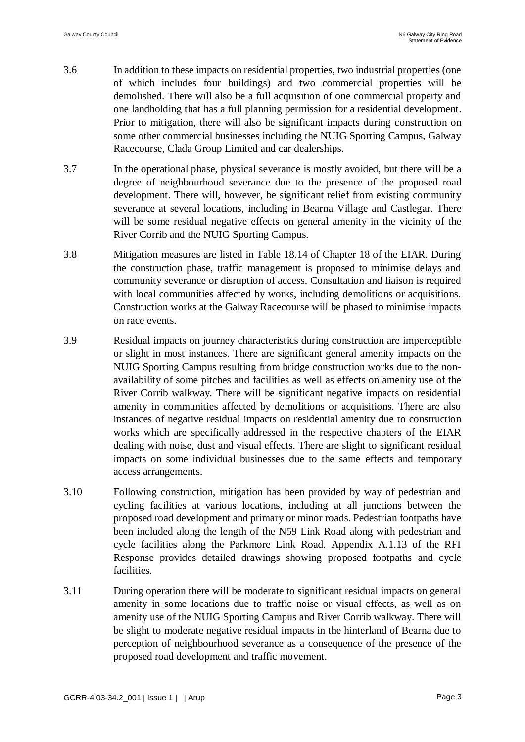- 3.6 In addition to these impacts on residential properties, two industrial properties (one of which includes four buildings) and two commercial properties will be demolished. There will also be a full acquisition of one commercial property and one landholding that has a full planning permission for a residential development. Prior to mitigation, there will also be significant impacts during construction on some other commercial businesses including the NUIG Sporting Campus, Galway Racecourse, Clada Group Limited and car dealerships.
- 3.7 In the operational phase, physical severance is mostly avoided, but there will be a degree of neighbourhood severance due to the presence of the proposed road development. There will, however, be significant relief from existing community severance at several locations, including in Bearna Village and Castlegar. There will be some residual negative effects on general amenity in the vicinity of the River Corrib and the NUIG Sporting Campus.
- 3.8 Mitigation measures are listed in Table 18.14 of Chapter 18 of the EIAR. During the construction phase, traffic management is proposed to minimise delays and community severance or disruption of access. Consultation and liaison is required with local communities affected by works, including demolitions or acquisitions. Construction works at the Galway Racecourse will be phased to minimise impacts on race events.
- 3.9 Residual impacts on journey characteristics during construction are imperceptible or slight in most instances. There are significant general amenity impacts on the NUIG Sporting Campus resulting from bridge construction works due to the nonavailability of some pitches and facilities as well as effects on amenity use of the River Corrib walkway. There will be significant negative impacts on residential amenity in communities affected by demolitions or acquisitions. There are also instances of negative residual impacts on residential amenity due to construction works which are specifically addressed in the respective chapters of the EIAR dealing with noise, dust and visual effects. There are slight to significant residual impacts on some individual businesses due to the same effects and temporary access arrangements.
- 3.10 Following construction, mitigation has been provided by way of pedestrian and cycling facilities at various locations, including at all junctions between the proposed road development and primary or minor roads. Pedestrian footpaths have been included along the length of the N59 Link Road along with pedestrian and cycle facilities along the Parkmore Link Road. Appendix A.1.13 of the RFI Response provides detailed drawings showing proposed footpaths and cycle facilities.
- 3.11 During operation there will be moderate to significant residual impacts on general amenity in some locations due to traffic noise or visual effects, as well as on amenity use of the NUIG Sporting Campus and River Corrib walkway. There will be slight to moderate negative residual impacts in the hinterland of Bearna due to perception of neighbourhood severance as a consequence of the presence of the proposed road development and traffic movement.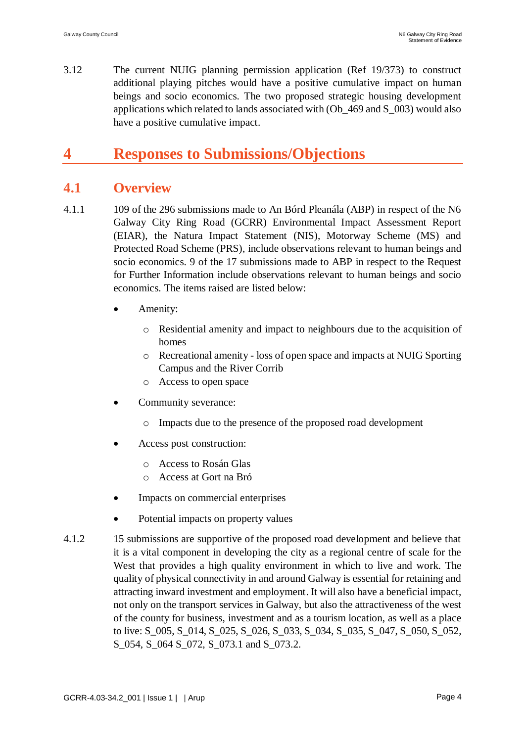3.12 The current NUIG planning permission application (Ref 19/373) to construct additional playing pitches would have a positive cumulative impact on human beings and socio economics. The two proposed strategic housing development applications which related to lands associated with (Ob\_469 and S\_003) would also have a positive cumulative impact.

# **4 Responses to Submissions/Objections**

## **4.1 Overview**

- 4.1.1 109 of the 296 submissions made to An Bórd Pleanála (ABP) in respect of the N6 Galway City Ring Road (GCRR) Environmental Impact Assessment Report (EIAR), the Natura Impact Statement (NIS), Motorway Scheme (MS) and Protected Road Scheme (PRS), include observations relevant to human beings and socio economics. 9 of the 17 submissions made to ABP in respect to the Request for Further Information include observations relevant to human beings and socio economics. The items raised are listed below:
	- Amenity:
		- o Residential amenity and impact to neighbours due to the acquisition of homes
		- o Recreational amenity loss of open space and impacts at NUIG Sporting Campus and the River Corrib
		- o Access to open space
	- Community severance:
		- o Impacts due to the presence of the proposed road development
	- Access post construction:
		- o Access to Rosán Glas
		- o Access at Gort na Bró
	- Impacts on commercial enterprises
	- Potential impacts on property values
- 4.1.2 15 submissions are supportive of the proposed road development and believe that it is a vital component in developing the city as a regional centre of scale for the West that provides a high quality environment in which to live and work. The quality of physical connectivity in and around Galway is essential for retaining and attracting inward investment and employment. It will also have a beneficial impact, not only on the transport services in Galway, but also the attractiveness of the west of the county for business, investment and as a tourism location, as well as a place to live: S\_005, S\_014, S\_025, S\_026, S\_033, S\_034, S\_035, S\_047, S\_050, S\_052, S\_054, S\_064 S\_072, S\_073.1 and S\_073.2.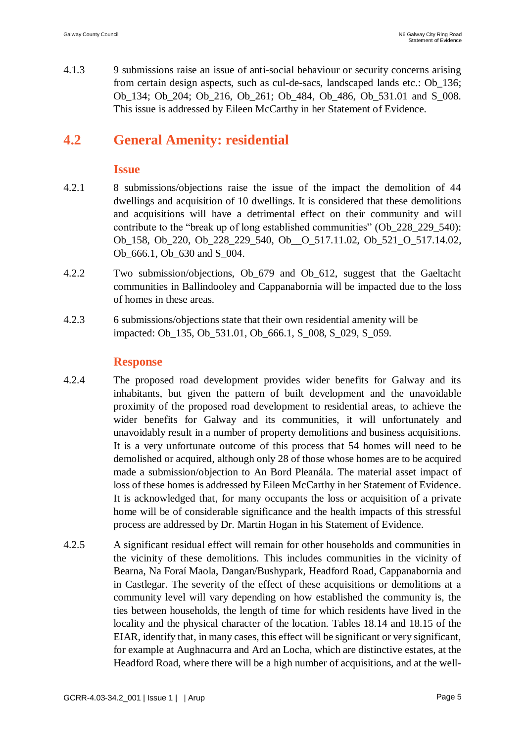4.1.3 9 submissions raise an issue of anti-social behaviour or security concerns arising from certain design aspects, such as cul-de-sacs, landscaped lands etc.: Ob\_136; Ob\_134; Ob\_204; Ob\_216, Ob\_261; Ob\_484, Ob\_486, Ob\_531.01 and S\_008. This issue is addressed by Eileen McCarthy in her Statement of Evidence.

# **4.2 General Amenity: residential**

### **Issue**

- 4.2.1 8 submissions/objections raise the issue of the impact the demolition of 44 dwellings and acquisition of 10 dwellings. It is considered that these demolitions and acquisitions will have a detrimental effect on their community and will contribute to the "break up of long established communities" (Ob\_228\_229\_540): Ob\_158, Ob\_220, Ob\_228\_229\_540, Ob\_\_O\_517.11.02, Ob\_521\_O\_517.14.02, Ob\_666.1, Ob\_630 and S\_004.
- 4.2.2 Two submission/objections, Ob\_679 and Ob\_612, suggest that the Gaeltacht communities in Ballindooley and Cappanabornia will be impacted due to the loss of homes in these areas.
- 4.2.3 6 submissions/objections state that their own residential amenity will be impacted: Ob\_135, Ob\_531.01, Ob\_666.1, S\_008, S\_029, S\_059.

### **Response**

- 4.2.4 The proposed road development provides wider benefits for Galway and its inhabitants, but given the pattern of built development and the unavoidable proximity of the proposed road development to residential areas, to achieve the wider benefits for Galway and its communities, it will unfortunately and unavoidably result in a number of property demolitions and business acquisitions. It is a very unfortunate outcome of this process that 54 homes will need to be demolished or acquired, although only 28 of those whose homes are to be acquired made a submission/objection to An Bord Pleanála. The material asset impact of loss of these homes is addressed by Eileen McCarthy in her Statement of Evidence. It is acknowledged that, for many occupants the loss or acquisition of a private home will be of considerable significance and the health impacts of this stressful process are addressed by Dr. Martin Hogan in his Statement of Evidence.
- 4.2.5 A significant residual effect will remain for other households and communities in the vicinity of these demolitions. This includes communities in the vicinity of Bearna, Na Foraí Maola, Dangan/Bushypark, Headford Road, Cappanabornia and in Castlegar. The severity of the effect of these acquisitions or demolitions at a community level will vary depending on how established the community is, the ties between households, the length of time for which residents have lived in the locality and the physical character of the location. Tables 18.14 and 18.15 of the EIAR, identify that, in many cases, this effect will be significant or very significant, for example at Aughnacurra and Ard an Locha, which are distinctive estates, at the Headford Road, where there will be a high number of acquisitions, and at the well-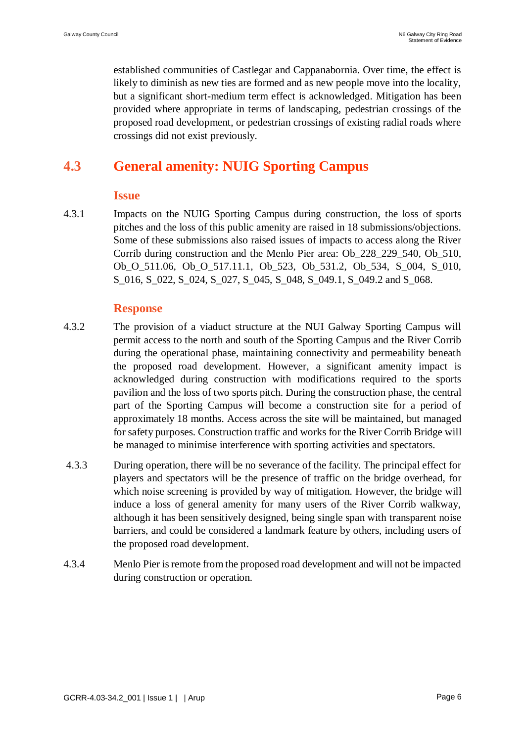established communities of Castlegar and Cappanabornia. Over time, the effect is likely to diminish as new ties are formed and as new people move into the locality, but a significant short-medium term effect is acknowledged. Mitigation has been provided where appropriate in terms of landscaping, pedestrian crossings of the proposed road development, or pedestrian crossings of existing radial roads where crossings did not exist previously.

# **4.3 General amenity: NUIG Sporting Campus**

#### **Issue**

4.3.1 Impacts on the NUIG Sporting Campus during construction, the loss of sports pitches and the loss of this public amenity are raised in 18 submissions/objections. Some of these submissions also raised issues of impacts to access along the River Corrib during construction and the Menlo Pier area: Ob\_228\_229\_540, Ob\_510, Ob O 511.06, Ob O 517.11.1, Ob 523, Ob 531.2, Ob 534, S 004, S 010, S 016, S 022, S 024, S 027, S 045, S 048, S 049.1, S 049.2 and S 068.

### **Response**

- 4.3.2 The provision of a viaduct structure at the NUI Galway Sporting Campus will permit access to the north and south of the Sporting Campus and the River Corrib during the operational phase, maintaining connectivity and permeability beneath the proposed road development. However, a significant amenity impact is acknowledged during construction with modifications required to the sports pavilion and the loss of two sports pitch. During the construction phase, the central part of the Sporting Campus will become a construction site for a period of approximately 18 months. Access across the site will be maintained, but managed for safety purposes. Construction traffic and works for the River Corrib Bridge will be managed to minimise interference with sporting activities and spectators.
- 4.3.3 During operation, there will be no severance of the facility. The principal effect for players and spectators will be the presence of traffic on the bridge overhead, for which noise screening is provided by way of mitigation. However, the bridge will induce a loss of general amenity for many users of the River Corrib walkway, although it has been sensitively designed, being single span with transparent noise barriers, and could be considered a landmark feature by others, including users of the proposed road development.
- 4.3.4 Menlo Pier is remote from the proposed road development and will not be impacted during construction or operation.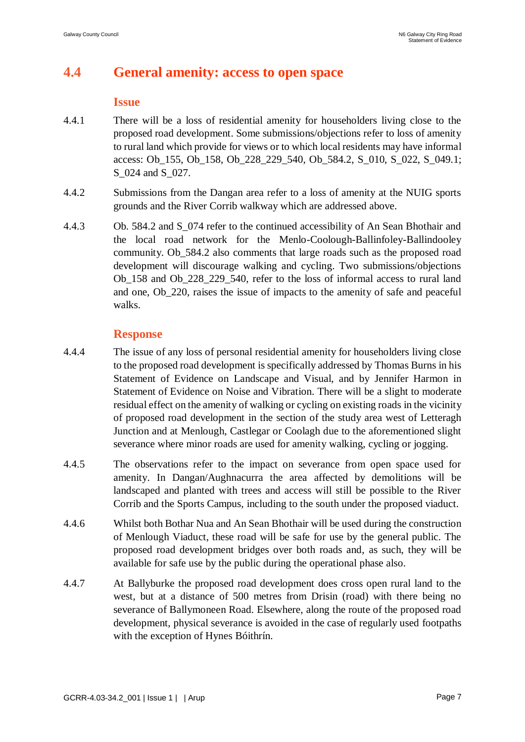## **4.4 General amenity: access to open space**

#### **Issue**

- 4.4.1 There will be a loss of residential amenity for householders living close to the proposed road development. Some submissions/objections refer to loss of amenity to rural land which provide for views or to which local residents may have informal access: Ob\_155, Ob\_158, Ob\_228\_229\_540, Ob\_584.2, S\_010, S\_022, S\_049.1; S 024 and S 027.
- 4.4.2 Submissions from the Dangan area refer to a loss of amenity at the NUIG sports grounds and the River Corrib walkway which are addressed above.
- 4.4.3 Ob. 584.2 and S\_074 refer to the continued accessibility of An Sean Bhothair and the local road network for the Menlo-Coolough-Ballinfoley-Ballindooley community. Ob\_584.2 also comments that large roads such as the proposed road development will discourage walking and cycling. Two submissions/objections Ob\_158 and Ob\_228\_229\_540, refer to the loss of informal access to rural land and one, Ob\_220, raises the issue of impacts to the amenity of safe and peaceful walks.

### **Response**

- 4.4.4 The issue of any loss of personal residential amenity for householders living close to the proposed road development is specifically addressed by Thomas Burns in his Statement of Evidence on Landscape and Visual, and by Jennifer Harmon in Statement of Evidence on Noise and Vibration. There will be a slight to moderate residual effect on the amenity of walking or cycling on existing roads in the vicinity of proposed road development in the section of the study area west of Letteragh Junction and at Menlough, Castlegar or Coolagh due to the aforementioned slight severance where minor roads are used for amenity walking, cycling or jogging.
- 4.4.5 The observations refer to the impact on severance from open space used for amenity. In Dangan/Aughnacurra the area affected by demolitions will be landscaped and planted with trees and access will still be possible to the River Corrib and the Sports Campus, including to the south under the proposed viaduct.
- 4.4.6 Whilst both Bothar Nua and An Sean Bhothair will be used during the construction of Menlough Viaduct, these road will be safe for use by the general public. The proposed road development bridges over both roads and, as such, they will be available for safe use by the public during the operational phase also.
- 4.4.7 At Ballyburke the proposed road development does cross open rural land to the west, but at a distance of 500 metres from Drisin (road) with there being no severance of Ballymoneen Road. Elsewhere, along the route of the proposed road development, physical severance is avoided in the case of regularly used footpaths with the exception of Hynes Bóithrín.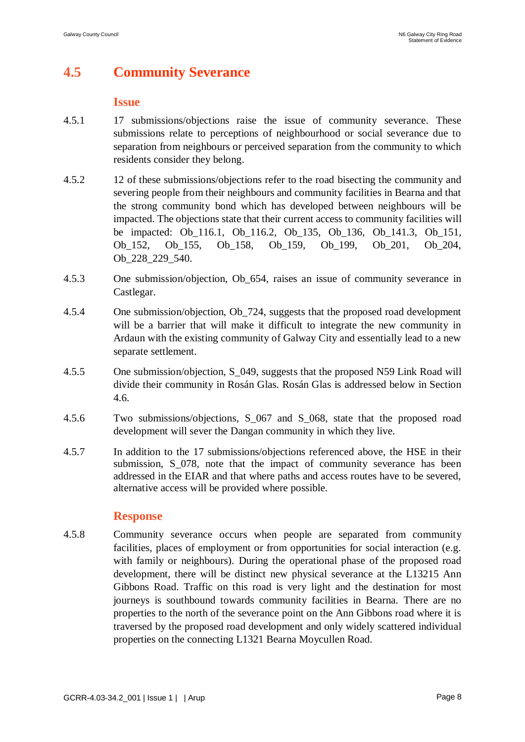# **4.5 Community Severance**

#### **Issue**

- 4.5.1 17 submissions/objections raise the issue of community severance. These submissions relate to perceptions of neighbourhood or social severance due to separation from neighbours or perceived separation from the community to which residents consider they belong.
- 4.5.2 12 of these submissions/objections refer to the road bisecting the community and severing people from their neighbours and community facilities in Bearna and that the strong community bond which has developed between neighbours will be impacted. The objections state that their current access to community facilities will be impacted: Ob\_116.1, Ob\_116.2, Ob\_135, Ob\_136, Ob\_141.3, Ob\_151, Ob\_152, Ob\_155, Ob\_158, Ob\_159, Ob\_199, Ob\_201, Ob\_204, Ob\_228\_229\_540.
- 4.5.3 One submission/objection, Ob\_654, raises an issue of community severance in Castlegar.
- 4.5.4 One submission/objection, Ob\_724, suggests that the proposed road development will be a barrier that will make it difficult to integrate the new community in Ardaun with the existing community of Galway City and essentially lead to a new separate settlement.
- 4.5.5 One submission/objection, S\_049, suggests that the proposed N59 Link Road will divide their community in Rosán Glas. Rosán Glas is addressed below in Section 4.6.
- 4.5.6 Two submissions/objections, S\_067 and S\_068, state that the proposed road development will sever the Dangan community in which they live.
- 4.5.7 In addition to the 17 submissions/objections referenced above, the HSE in their submission, S\_078, note that the impact of community severance has been addressed in the EIAR and that where paths and access routes have to be severed, alternative access will be provided where possible.

### **Response**

4.5.8 Community severance occurs when people are separated from community facilities, places of employment or from opportunities for social interaction (e.g. with family or neighbours). During the operational phase of the proposed road development, there will be distinct new physical severance at the L13215 Ann Gibbons Road. Traffic on this road is very light and the destination for most journeys is southbound towards community facilities in Bearna. There are no properties to the north of the severance point on the Ann Gibbons road where it is traversed by the proposed road development and only widely scattered individual properties on the connecting L1321 Bearna Moycullen Road.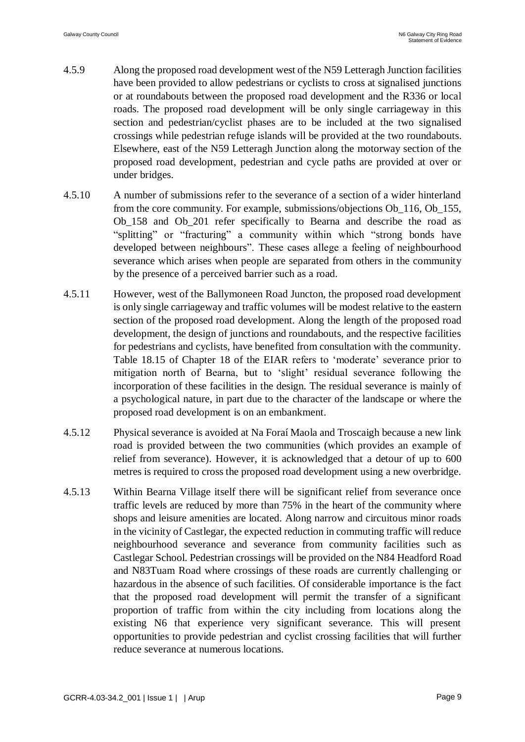- 4.5.9 Along the proposed road development west of the N59 Letteragh Junction facilities have been provided to allow pedestrians or cyclists to cross at signalised junctions or at roundabouts between the proposed road development and the R336 or local roads. The proposed road development will be only single carriageway in this section and pedestrian/cyclist phases are to be included at the two signalised crossings while pedestrian refuge islands will be provided at the two roundabouts. Elsewhere, east of the N59 Letteragh Junction along the motorway section of the proposed road development, pedestrian and cycle paths are provided at over or under bridges.
- 4.5.10 A number of submissions refer to the severance of a section of a wider hinterland from the core community. For example, submissions/objections Ob\_116, Ob\_155, Ob\_158 and Ob\_201 refer specifically to Bearna and describe the road as "splitting" or "fracturing" a community within which "strong bonds have developed between neighbours". These cases allege a feeling of neighbourhood severance which arises when people are separated from others in the community by the presence of a perceived barrier such as a road.
- 4.5.11 However, west of the Ballymoneen Road Juncton, the proposed road development is only single carriageway and traffic volumes will be modest relative to the eastern section of the proposed road development. Along the length of the proposed road development, the design of junctions and roundabouts, and the respective facilities for pedestrians and cyclists, have benefited from consultation with the community. Table 18.15 of Chapter 18 of the EIAR refers to 'moderate' severance prior to mitigation north of Bearna, but to 'slight' residual severance following the incorporation of these facilities in the design. The residual severance is mainly of a psychological nature, in part due to the character of the landscape or where the proposed road development is on an embankment.
- 4.5.12 Physical severance is avoided at Na Foraí Maola and Troscaigh because a new link road is provided between the two communities (which provides an example of relief from severance). However, it is acknowledged that a detour of up to 600 metres is required to cross the proposed road development using a new overbridge.
- 4.5.13 Within Bearna Village itself there will be significant relief from severance once traffic levels are reduced by more than 75% in the heart of the community where shops and leisure amenities are located. Along narrow and circuitous minor roads in the vicinity of Castlegar, the expected reduction in commuting traffic will reduce neighbourhood severance and severance from community facilities such as Castlegar School. Pedestrian crossings will be provided on the N84 Headford Road and N83Tuam Road where crossings of these roads are currently challenging or hazardous in the absence of such facilities. Of considerable importance is the fact that the proposed road development will permit the transfer of a significant proportion of traffic from within the city including from locations along the existing N6 that experience very significant severance. This will present opportunities to provide pedestrian and cyclist crossing facilities that will further reduce severance at numerous locations.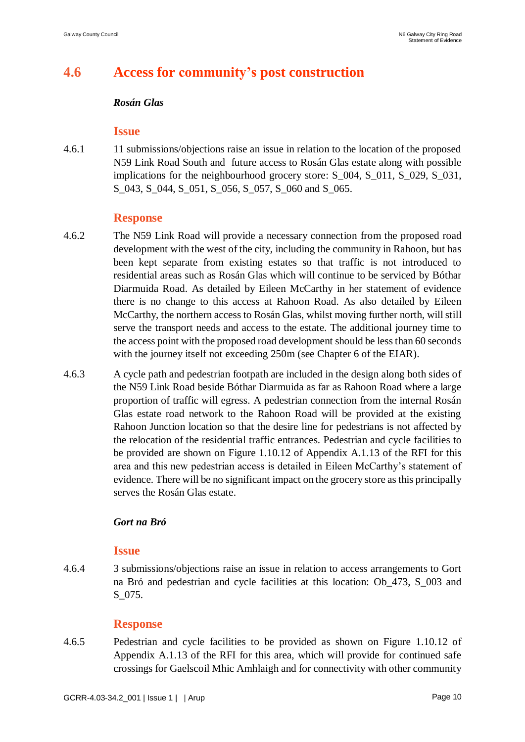# **4.6 Access for community's post construction**

#### *Rosán Glas*

### **Issue**

4.6.1 11 submissions/objections raise an issue in relation to the location of the proposed N59 Link Road South and future access to Rosán Glas estate along with possible implications for the neighbourhood grocery store: S\_004, S\_011, S\_029, S\_031, S\_043, S\_044, S\_051, S\_056, S\_057, S\_060 and S\_065.

### **Response**

- 4.6.2 The N59 Link Road will provide a necessary connection from the proposed road development with the west of the city, including the community in Rahoon, but has been kept separate from existing estates so that traffic is not introduced to residential areas such as Rosán Glas which will continue to be serviced by Bóthar Diarmuida Road. As detailed by Eileen McCarthy in her statement of evidence there is no change to this access at Rahoon Road. As also detailed by Eileen McCarthy, the northern access to Rosán Glas, whilst moving further north, will still serve the transport needs and access to the estate. The additional journey time to the access point with the proposed road development should be less than 60 seconds with the journey itself not exceeding 250m (see Chapter 6 of the EIAR).
- 4.6.3 A cycle path and pedestrian footpath are included in the design along both sides of the N59 Link Road beside Bóthar Diarmuida as far as Rahoon Road where a large proportion of traffic will egress. A pedestrian connection from the internal Rosán Glas estate road network to the Rahoon Road will be provided at the existing Rahoon Junction location so that the desire line for pedestrians is not affected by the relocation of the residential traffic entrances. Pedestrian and cycle facilities to be provided are shown on Figure 1.10.12 of Appendix A.1.13 of the RFI for this area and this new pedestrian access is detailed in Eileen McCarthy's statement of evidence. There will be no significant impact on the grocery store as this principally serves the Rosán Glas estate.

### *Gort na Bró*

### **Issue**

4.6.4 3 submissions/objections raise an issue in relation to access arrangements to Gort na Bró and pedestrian and cycle facilities at this location: Ob\_473, S\_003 and S\_075.

### **Response**

4.6.5 Pedestrian and cycle facilities to be provided as shown on Figure 1.10.12 of Appendix A.1.13 of the RFI for this area, which will provide for continued safe crossings for Gaelscoil Mhic Amhlaigh and for connectivity with other community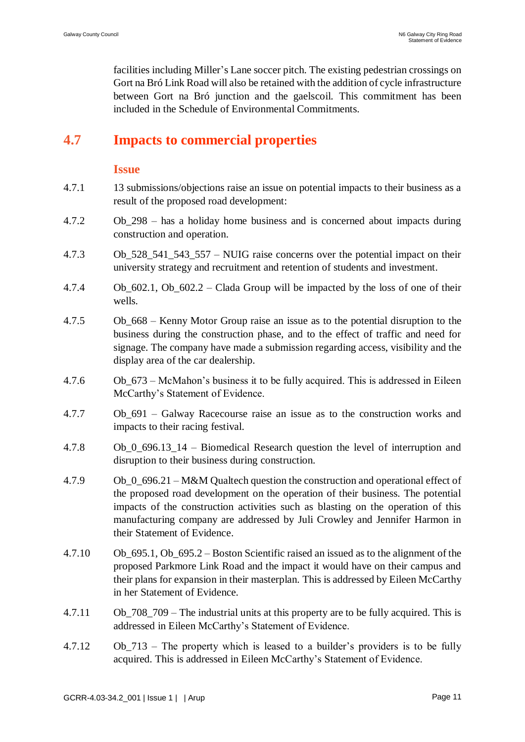facilities including Miller's Lane soccer pitch. The existing pedestrian crossings on Gort na Bró Link Road will also be retained with the addition of cycle infrastructure between Gort na Bró junction and the gaelscoil. This commitment has been included in the Schedule of Environmental Commitments.

# **4.7 Impacts to commercial properties**

### **Issue**

- 4.7.1 13 submissions/objections raise an issue on potential impacts to their business as a result of the proposed road development:
- 4.7.2 Ob\_298 has a holiday home business and is concerned about impacts during construction and operation.
- 4.7.3 Ob\_528\_541\_543\_557 NUIG raise concerns over the potential impact on their university strategy and recruitment and retention of students and investment.
- 4.7.4 Ob\_602.1, Ob\_602.2 Clada Group will be impacted by the loss of one of their wells.
- 4.7.5 Ob\_668 Kenny Motor Group raise an issue as to the potential disruption to the business during the construction phase, and to the effect of traffic and need for signage. The company have made a submission regarding access, visibility and the display area of the car dealership.
- 4.7.6 Ob\_673 McMahon's business it to be fully acquired. This is addressed in Eileen McCarthy's Statement of Evidence.
- 4.7.7 Ob\_691 Galway Racecourse raise an issue as to the construction works and impacts to their racing festival.
- 4.7.8 Ob\_0\_696.13\_14 Biomedical Research question the level of interruption and disruption to their business during construction.
- 4.7.9 Ob\_0\_696.21 M&M Qualtech question the construction and operational effect of the proposed road development on the operation of their business. The potential impacts of the construction activities such as blasting on the operation of this manufacturing company are addressed by Juli Crowley and Jennifer Harmon in their Statement of Evidence.
- 4.7.10 Ob\_695.1, Ob\_695.2 Boston Scientific raised an issued as to the alignment of the proposed Parkmore Link Road and the impact it would have on their campus and their plans for expansion in their masterplan. This is addressed by Eileen McCarthy in her Statement of Evidence.
- 4.7.11 Ob\_708\_709 The industrial units at this property are to be fully acquired. This is addressed in Eileen McCarthy's Statement of Evidence.
- 4.7.12 Ob\_713 The property which is leased to a builder's providers is to be fully acquired. This is addressed in Eileen McCarthy's Statement of Evidence.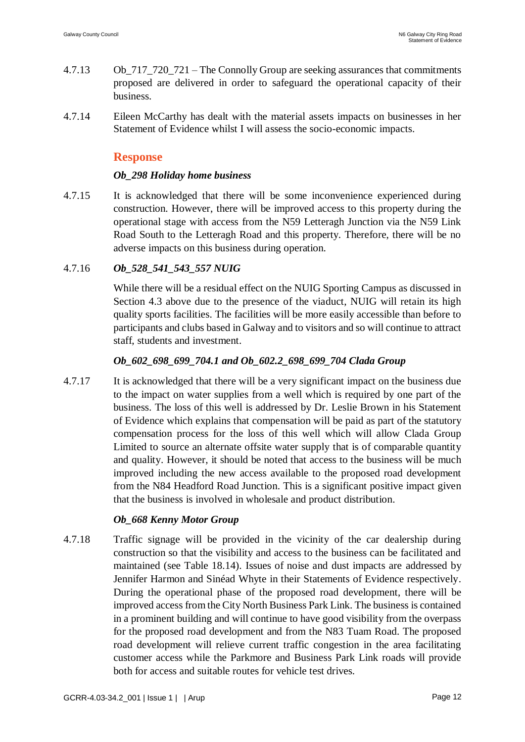- 4.7.13 Ob\_717\_720\_721 The Connolly Group are seeking assurances that commitments proposed are delivered in order to safeguard the operational capacity of their business.
- 4.7.14 Eileen McCarthy has dealt with the material assets impacts on businesses in her Statement of Evidence whilst I will assess the socio-economic impacts.

### **Response**

#### *Ob\_298 Holiday home business*

4.7.15 It is acknowledged that there will be some inconvenience experienced during construction. However, there will be improved access to this property during the operational stage with access from the N59 Letteragh Junction via the N59 Link Road South to the Letteragh Road and this property. Therefore, there will be no adverse impacts on this business during operation.

#### 4.7.16 *Ob\_528\_541\_543\_557 NUIG*

While there will be a residual effect on the NUIG Sporting Campus as discussed in Section 4.3 above due to the presence of the viaduct, NUIG will retain its high quality sports facilities. The facilities will be more easily accessible than before to participants and clubs based in Galway and to visitors and so will continue to attract staff, students and investment.

#### *Ob\_602\_698\_699\_704.1 and Ob\_602.2\_698\_699\_704 Clada Group*

4.7.17 It is acknowledged that there will be a very significant impact on the business due to the impact on water supplies from a well which is required by one part of the business. The loss of this well is addressed by Dr. Leslie Brown in his Statement of Evidence which explains that compensation will be paid as part of the statutory compensation process for the loss of this well which will allow Clada Group Limited to source an alternate offsite water supply that is of comparable quantity and quality. However, it should be noted that access to the business will be much improved including the new access available to the proposed road development from the N84 Headford Road Junction. This is a significant positive impact given that the business is involved in wholesale and product distribution.

#### *Ob\_668 Kenny Motor Group*

4.7.18 Traffic signage will be provided in the vicinity of the car dealership during construction so that the visibility and access to the business can be facilitated and maintained (see Table 18.14). Issues of noise and dust impacts are addressed by Jennifer Harmon and Sinéad Whyte in their Statements of Evidence respectively. During the operational phase of the proposed road development, there will be improved access from the City North Business Park Link. The business is contained in a prominent building and will continue to have good visibility from the overpass for the proposed road development and from the N83 Tuam Road. The proposed road development will relieve current traffic congestion in the area facilitating customer access while the Parkmore and Business Park Link roads will provide both for access and suitable routes for vehicle test drives.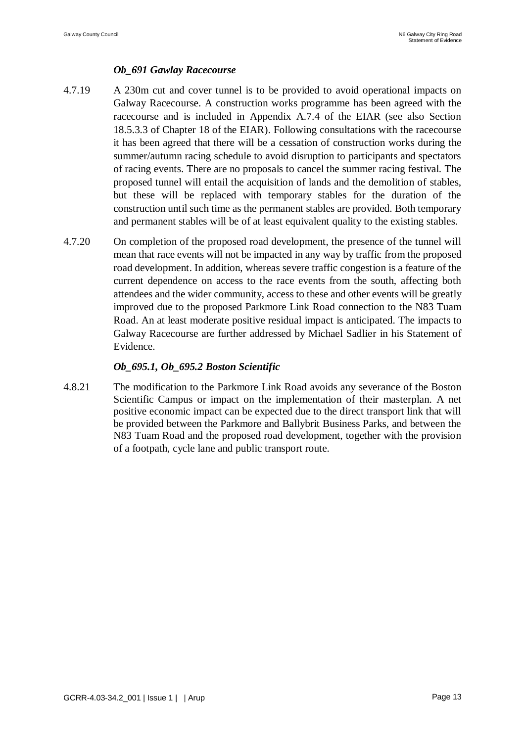### *Ob\_691 Gawlay Racecourse*

- 4.7.19 A 230m cut and cover tunnel is to be provided to avoid operational impacts on Galway Racecourse. A construction works programme has been agreed with the racecourse and is included in Appendix A.7.4 of the EIAR (see also Section 18.5.3.3 of Chapter 18 of the EIAR). Following consultations with the racecourse it has been agreed that there will be a cessation of construction works during the summer/autumn racing schedule to avoid disruption to participants and spectators of racing events. There are no proposals to cancel the summer racing festival. The proposed tunnel will entail the acquisition of lands and the demolition of stables, but these will be replaced with temporary stables for the duration of the construction until such time as the permanent stables are provided. Both temporary and permanent stables will be of at least equivalent quality to the existing stables.
- 4.7.20 On completion of the proposed road development, the presence of the tunnel will mean that race events will not be impacted in any way by traffic from the proposed road development. In addition, whereas severe traffic congestion is a feature of the current dependence on access to the race events from the south, affecting both attendees and the wider community, access to these and other events will be greatly improved due to the proposed Parkmore Link Road connection to the N83 Tuam Road. An at least moderate positive residual impact is anticipated. The impacts to Galway Racecourse are further addressed by Michael Sadlier in his Statement of Evidence.

#### *Ob\_695.1, Ob\_695.2 Boston Scientific*

4.8.21 The modification to the Parkmore Link Road avoids any severance of the Boston Scientific Campus or impact on the implementation of their masterplan. A net positive economic impact can be expected due to the direct transport link that will be provided between the Parkmore and Ballybrit Business Parks, and between the N83 Tuam Road and the proposed road development, together with the provision of a footpath, cycle lane and public transport route.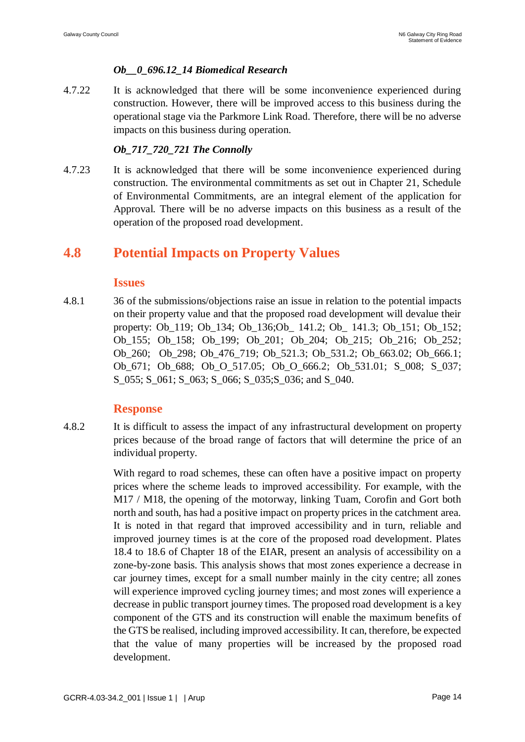### *Ob\_\_0\_696.12\_14 Biomedical Research*

4.7.22 It is acknowledged that there will be some inconvenience experienced during construction. However, there will be improved access to this business during the operational stage via the Parkmore Link Road. Therefore, there will be no adverse impacts on this business during operation.

#### *Ob\_717\_720\_721 The Connolly*

4.7.23 It is acknowledged that there will be some inconvenience experienced during construction. The environmental commitments as set out in Chapter 21, Schedule of Environmental Commitments, are an integral element of the application for Approval. There will be no adverse impacts on this business as a result of the operation of the proposed road development.

## **4.8 Potential Impacts on Property Values**

#### **Issues**

4.8.1 36 of the submissions/objections raise an issue in relation to the potential impacts on their property value and that the proposed road development will devalue their property: Ob\_119; Ob\_134; Ob\_136;Ob\_ 141.2; Ob\_ 141.3; Ob\_151; Ob\_152; Ob\_155; Ob\_158; Ob\_199; Ob\_201; Ob\_204; Ob\_215; Ob\_216; Ob\_252; Ob\_260; Ob\_298; Ob\_476\_719; Ob\_521.3; Ob\_531.2; Ob\_663.02; Ob\_666.1; Ob\_671; Ob\_688; Ob\_O\_517.05; Ob\_O\_666.2; Ob\_531.01; S\_008; S\_037; S\_055; S\_061; S\_063; S\_066; S\_035;S\_036; and S\_040.

### **Response**

4.8.2 It is difficult to assess the impact of any infrastructural development on property prices because of the broad range of factors that will determine the price of an individual property.

> With regard to road schemes, these can often have a positive impact on property prices where the scheme leads to improved accessibility. For example, with the M17 / M18, the opening of the motorway, linking Tuam, Corofin and Gort both north and south, has had a positive impact on property prices in the catchment area. It is noted in that regard that improved accessibility and in turn, reliable and improved journey times is at the core of the proposed road development. Plates 18.4 to 18.6 of Chapter 18 of the EIAR, present an analysis of accessibility on a zone-by-zone basis. This analysis shows that most zones experience a decrease in car journey times, except for a small number mainly in the city centre; all zones will experience improved cycling journey times; and most zones will experience a decrease in public transport journey times. The proposed road development is a key component of the GTS and its construction will enable the maximum benefits of the GTS be realised, including improved accessibility. It can, therefore, be expected that the value of many properties will be increased by the proposed road development.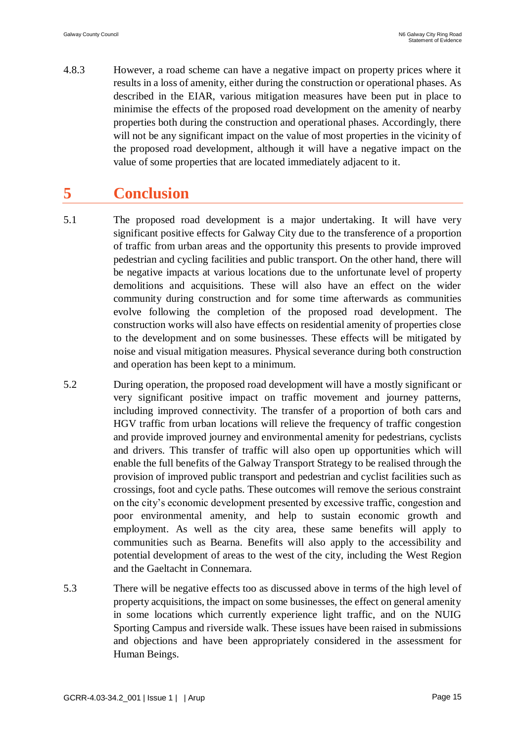4.8.3 However, a road scheme can have a negative impact on property prices where it results in a loss of amenity, either during the construction or operational phases. As described in the EIAR, various mitigation measures have been put in place to minimise the effects of the proposed road development on the amenity of nearby properties both during the construction and operational phases. Accordingly, there will not be any significant impact on the value of most properties in the vicinity of the proposed road development, although it will have a negative impact on the value of some properties that are located immediately adjacent to it.

# **5 Conclusion**

- 5.1 The proposed road development is a major undertaking. It will have very significant positive effects for Galway City due to the transference of a proportion of traffic from urban areas and the opportunity this presents to provide improved pedestrian and cycling facilities and public transport. On the other hand, there will be negative impacts at various locations due to the unfortunate level of property demolitions and acquisitions. These will also have an effect on the wider community during construction and for some time afterwards as communities evolve following the completion of the proposed road development. The construction works will also have effects on residential amenity of properties close to the development and on some businesses. These effects will be mitigated by noise and visual mitigation measures. Physical severance during both construction and operation has been kept to a minimum.
- 5.2 During operation, the proposed road development will have a mostly significant or very significant positive impact on traffic movement and journey patterns, including improved connectivity. The transfer of a proportion of both cars and HGV traffic from urban locations will relieve the frequency of traffic congestion and provide improved journey and environmental amenity for pedestrians, cyclists and drivers. This transfer of traffic will also open up opportunities which will enable the full benefits of the Galway Transport Strategy to be realised through the provision of improved public transport and pedestrian and cyclist facilities such as crossings, foot and cycle paths. These outcomes will remove the serious constraint on the city's economic development presented by excessive traffic, congestion and poor environmental amenity, and help to sustain economic growth and employment. As well as the city area, these same benefits will apply to communities such as Bearna. Benefits will also apply to the accessibility and potential development of areas to the west of the city, including the West Region and the Gaeltacht in Connemara.
- 5.3 There will be negative effects too as discussed above in terms of the high level of property acquisitions, the impact on some businesses, the effect on general amenity in some locations which currently experience light traffic, and on the NUIG Sporting Campus and riverside walk. These issues have been raised in submissions and objections and have been appropriately considered in the assessment for Human Beings.